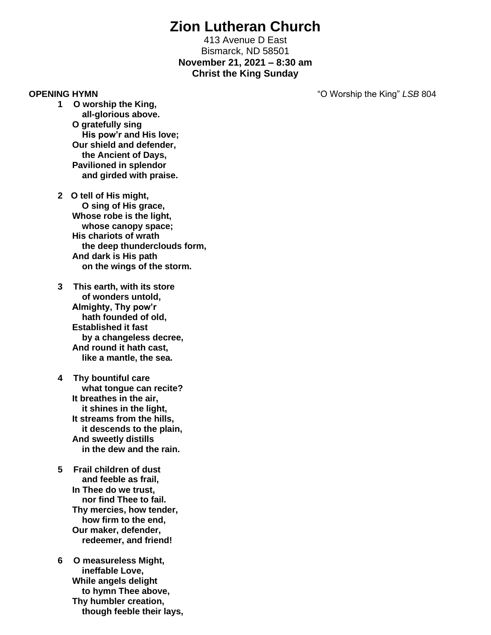# **Zion Lutheran Church**

413 Avenue D East Bismarck, ND 58501 **November 21, 2021 – 8:30 am Christ the King Sunday** 

**OPENING HYMN** "O Worship the King" *LSB* 804

- **1 O worship the King, all-glorious above. O gratefully sing His pow'r and His love; Our shield and defender, the Ancient of Days, Pavilioned in splendor and girded with praise.**
- **2 O tell of His might, O sing of His grace, Whose robe is the light, whose canopy space; His chariots of wrath the deep thunderclouds form, And dark is His path on the wings of the storm.**
- **3 This earth, with its store of wonders untold, Almighty, Thy pow'r hath founded of old, Established it fast by a changeless decree, And round it hath cast, like a mantle, the sea.**
- **4 Thy bountiful care what tongue can recite? It breathes in the air, it shines in the light, It streams from the hills, it descends to the plain, And sweetly distills in the dew and the rain.**
- **5 Frail children of dust and feeble as frail, In Thee do we trust, nor find Thee to fail. Thy mercies, how tender, how firm to the end, Our maker, defender, redeemer, and friend!**
- **6 O measureless Might, ineffable Love, While angels delight to hymn Thee above, Thy humbler creation, though feeble their lays,**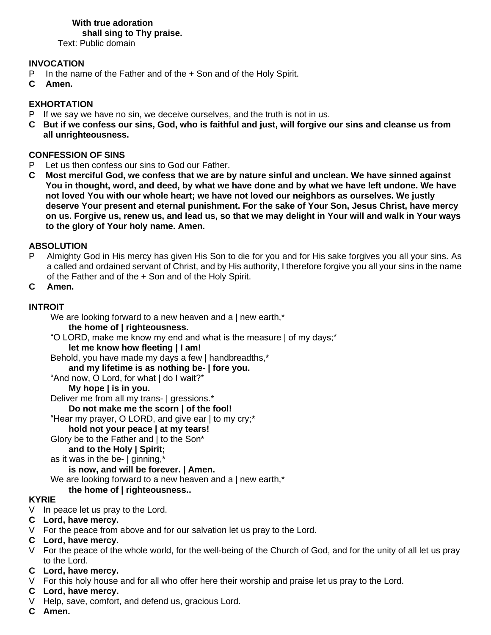# **With true adoration**

 **shall sing to Thy praise.**

Text: Public domain

# **INVOCATION**

- P In the name of the Father and of the + Son and of the Holy Spirit.
- **C Amen.**

# **EXHORTATION**

- P If we say we have no sin, we deceive ourselves, and the truth is not in us.
- **C But if we confess our sins, God, who is faithful and just, will forgive our sins and cleanse us from all unrighteousness.**

# **CONFESSION OF SINS**

- P Let us then confess our sins to God our Father.
- **C Most merciful God, we confess that we are by nature sinful and unclean. We have sinned against You in thought, word, and deed, by what we have done and by what we have left undone. We have not loved You with our whole heart; we have not loved our neighbors as ourselves. We justly deserve Your present and eternal punishment. For the sake of Your Son, Jesus Christ, have mercy on us. Forgive us, renew us, and lead us, so that we may delight in Your will and walk in Your ways to the glory of Your holy name. Amen.**

# **ABSOLUTION**

- P Almighty God in His mercy has given His Son to die for you and for His sake forgives you all your sins. As a called and ordained servant of Christ, and by His authority, I therefore forgive you all your sins in the name of the Father and of the + Son and of the Holy Spirit.
- **C Amen.**

# **INTROIT**

We are looking forward to a new heaven and a | new earth,\*

#### **the home of | righteousness.**

"O LORD, make me know my end and what is the measure | of my days;\*

# **let me know how fleeting | I am!**

Behold, you have made my days a few | handbreadths,\*

**and my lifetime is as nothing be- | fore you.**

"And now, O Lord, for what | do I wait?\*

# **My hope | is in you.**

Deliver me from all my trans- | gressions.\*

# **Do not make me the scorn | of the fool!**

"Hear my prayer, O LORD, and give ear | to my cry;\*

# **hold not your peace | at my tears!**

Glory be to the Father and | to the Son\*

**and to the Holy | Spirit;**

as it was in the be-  $\vert$  ginning,\*

# **is now, and will be forever. | Amen.**

We are looking forward to a new heaven and a  $\vert$  new earth,<sup>\*</sup>

# **the home of | righteousness..**

# **KYRIE**

- V In peace let us pray to the Lord.
- **C Lord, have mercy.**
- V For the peace from above and for our salvation let us pray to the Lord.

# **C Lord, have mercy.**

V For the peace of the whole world, for the well-being of the Church of God, and for the unity of all let us pray to the Lord.

# **C Lord, have mercy.**

- V For this holy house and for all who offer here their worship and praise let us pray to the Lord.
- **C Lord, have mercy.**
- V Help, save, comfort, and defend us, gracious Lord.
- **C Amen.**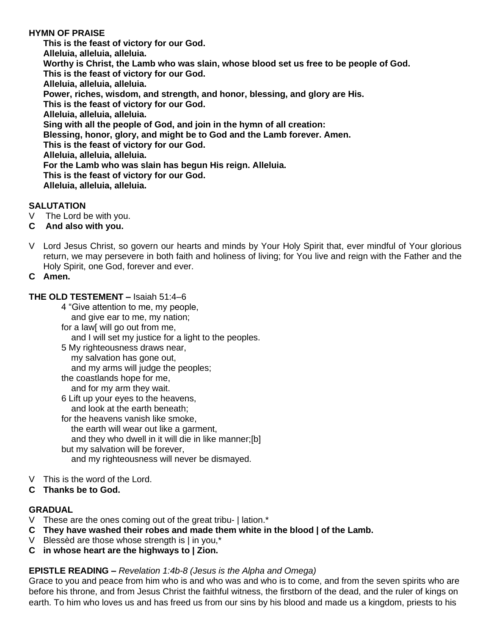# **HYMN OF PRAISE**

**This is the feast of victory for our God. Alleluia, alleluia, alleluia. Worthy is Christ, the Lamb who was slain, whose blood set us free to be people of God. This is the feast of victory for our God. Alleluia, alleluia, alleluia. Power, riches, wisdom, and strength, and honor, blessing, and glory are His. This is the feast of victory for our God. Alleluia, alleluia, alleluia. Sing with all the people of God, and join in the hymn of all creation: Blessing, honor, glory, and might be to God and the Lamb forever. Amen. This is the feast of victory for our God. Alleluia, alleluia, alleluia. For the Lamb who was slain has begun His reign. Alleluia. This is the feast of victory for our God. Alleluia, alleluia, alleluia.**

# **SALUTATION**

- V The Lord be with you.
- **C And also with you.**
- V Lord Jesus Christ, so govern our hearts and minds by Your Holy Spirit that, ever mindful of Your glorious return, we may persevere in both faith and holiness of living; for You live and reign with the Father and the Holy Spirit, one God, forever and ever.
- **C Amen.**

### **THE OLD TESTEMENT –** Isaiah 51:4–6

- 4 "Give attention to me, my people,
	- and give ear to me, my nation;
- for a law[ will go out from me,
	- and I will set my justice for a light to the peoples.
- 5 My righteousness draws near,
	- my salvation has gone out,
	- and my arms will judge the peoples;
- the coastlands hope for me,
- and for my arm they wait.
- 6 Lift up your eyes to the heavens, and look at the earth beneath;
- for the heavens vanish like smoke, the earth will wear out like a garment, and they who dwell in it will die in like manner;[b] but my salvation will be forever, and my righteousness will never be dismayed.
- V This is the word of the Lord.
- **C Thanks be to God.**

# **GRADUAL**

- V These are the ones coming out of the great tribu- | lation.\*
- **C They have washed their robes and made them white in the blood | of the Lamb.**
- V Blessèd are those whose strength is | in you,\*
- **C in whose heart are the highways to | Zion.**

# **EPISTLE READING –** *Revelation 1:4b-8 (Jesus is the Alpha and Omega)*

Grace to you and peace from him who is and who was and who is to come, and from the seven spirits who are before his throne, and from Jesus Christ the faithful witness, the firstborn of the dead, and the ruler of kings on earth. To him who loves us and has freed us from our sins by his blood and made us a kingdom, priests to his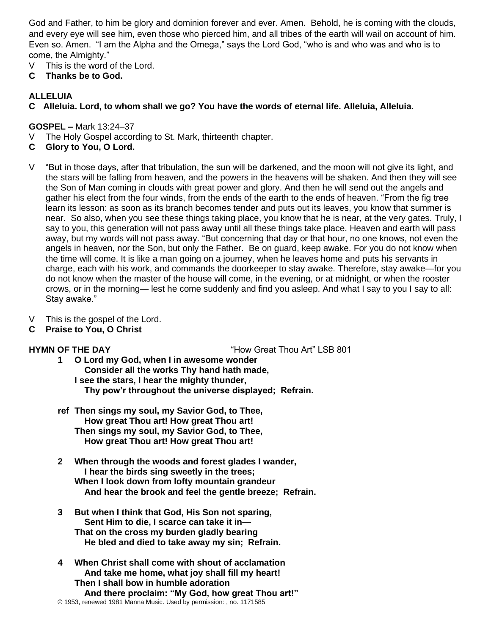God and Father, to him be glory and dominion forever and ever. Amen. Behold, he is coming with the clouds, and every eye will see him, even those who pierced him, and all tribes of the earth will wail on account of him. Even so. Amen. "I am the Alpha and the Omega," says the Lord God, "who is and who was and who is to come, the Almighty."

- V This is the word of the Lord.
- **C Thanks be to God.**

### **ALLELUIA**

**C Alleluia. Lord, to whom shall we go? You have the words of eternal life. Alleluia, Alleluia.**

#### **GOSPEL –** Mark 13:24–37

- V The Holy Gospel according to St. Mark, thirteenth chapter.
- **C Glory to You, O Lord.**
- V "But in those days, after that tribulation, the sun will be darkened, and the moon will not give its light, and the stars will be falling from heaven, and the powers in the heavens will be shaken. And then they will see the Son of Man coming in clouds with great power and glory. And then he will send out the angels and gather his elect from the four winds, from the ends of the earth to the ends of heaven. "From the fig tree learn its lesson: as soon as its branch becomes tender and puts out its leaves, you know that summer is near. So also, when you see these things taking place, you know that he is near, at the very gates. Truly, I say to you, this generation will not pass away until all these things take place. Heaven and earth will pass away, but my words will not pass away. "But concerning that day or that hour, no one knows, not even the angels in heaven, nor the Son, but only the Father. Be on guard, keep awake. For you do not know when the time will come. It is like a man going on a journey, when he leaves home and puts his servants in charge, each with his work, and commands the doorkeeper to stay awake. Therefore, stay awake—for you do not know when the master of the house will come, in the evening, or at midnight, or when the rooster crows, or in the morning— lest he come suddenly and find you asleep. And what I say to you I say to all: Stay awake."
- V This is the gospel of the Lord.
- **C Praise to You, O Christ**

**HYMN OF THE DAY** "How Great Thou Art" LSB 801

- **1 O Lord my God, when I in awesome wonder Consider all the works Thy hand hath made, I see the stars, I hear the mighty thunder, Thy pow'r throughout the universe displayed; Refrain.**
- **ref Then sings my soul, my Savior God, to Thee, How great Thou art! How great Thou art! Then sings my soul, my Savior God, to Thee, How great Thou art! How great Thou art!**
- **2 When through the woods and forest glades I wander, I hear the birds sing sweetly in the trees; When I look down from lofty mountain grandeur And hear the brook and feel the gentle breeze; Refrain.**
- **3 But when I think that God, His Son not sparing, Sent Him to die, I scarce can take it in— That on the cross my burden gladly bearing He bled and died to take away my sin; Refrain.**
- **4 When Christ shall come with shout of acclamation And take me home, what joy shall fill my heart! Then I shall bow in humble adoration And there proclaim: "My God, how great Thou art!"** © 1953, renewed 1981 Manna Music. Used by permission: , no. 1171585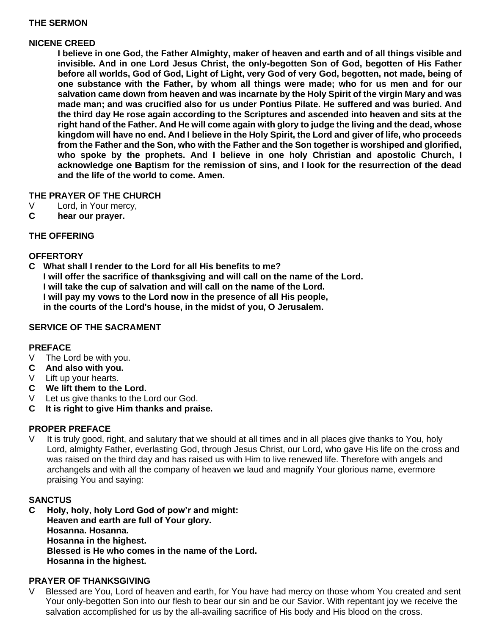# **THE SERMON**

### **NICENE CREED**

**I believe in one God, the Father Almighty, maker of heaven and earth and of all things visible and invisible. And in one Lord Jesus Christ, the only-begotten Son of God, begotten of His Father before all worlds, God of God, Light of Light, very God of very God, begotten, not made, being of one substance with the Father, by whom all things were made; who for us men and for our salvation came down from heaven and was incarnate by the Holy Spirit of the virgin Mary and was made man; and was crucified also for us under Pontius Pilate. He suffered and was buried. And the third day He rose again according to the Scriptures and ascended into heaven and sits at the right hand of the Father. And He will come again with glory to judge the living and the dead, whose kingdom will have no end. And I believe in the Holy Spirit, the Lord and giver of life, who proceeds from the Father and the Son, who with the Father and the Son together is worshiped and glorified, who spoke by the prophets. And I believe in one holy Christian and apostolic Church, I acknowledge one Baptism for the remission of sins, and I look for the resurrection of the dead and the life of the world to come. Amen.**

# **THE PRAYER OF THE CHURCH**

- V Lord, in Your mercy,
- **C hear our prayer.**

# **THE OFFERING**

# **OFFERTORY**

**C What shall I render to the Lord for all His benefits to me? I will offer the sacrifice of thanksgiving and will call on the name of the Lord. I will take the cup of salvation and will call on the name of the Lord. I will pay my vows to the Lord now in the presence of all His people, in the courts of the Lord's house, in the midst of you, O Jerusalem.**

# **SERVICE OF THE SACRAMENT**

# **PREFACE**

- V The Lord be with you.
- **C And also with you.**
- V Lift up your hearts.
- **C We lift them to the Lord.**
- V Let us give thanks to the Lord our God.
- **C It is right to give Him thanks and praise.**

### **PROPER PREFACE**

It is truly good, right, and salutary that we should at all times and in all places give thanks to You, holy Lord, almighty Father, everlasting God, through Jesus Christ, our Lord, who gave His life on the cross and was raised on the third day and has raised us with Him to live renewed life. Therefore with angels and archangels and with all the company of heaven we laud and magnify Your glorious name, evermore praising You and saying:

#### **SANCTUS**

**C Holy, holy, holy Lord God of pow'r and might: Heaven and earth are full of Your glory. Hosanna. Hosanna. Hosanna in the highest. Blessed is He who comes in the name of the Lord. Hosanna in the highest.**

#### **PRAYER OF THANKSGIVING**

Blessed are You, Lord of heaven and earth, for You have had mercy on those whom You created and sent Your only-begotten Son into our flesh to bear our sin and be our Savior. With repentant joy we receive the salvation accomplished for us by the all-availing sacrifice of His body and His blood on the cross.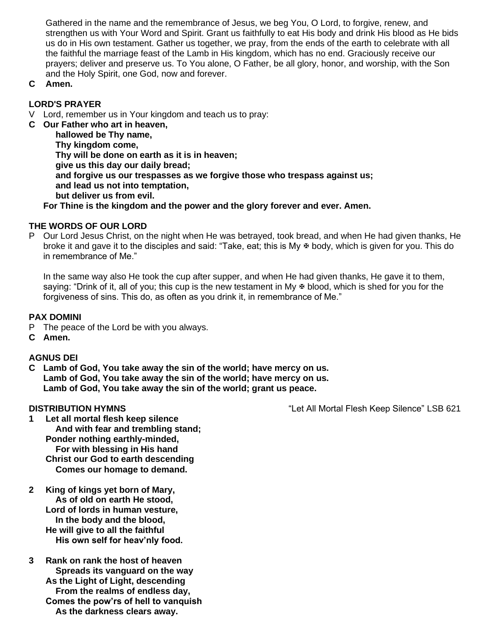Gathered in the name and the remembrance of Jesus, we beg You, O Lord, to forgive, renew, and strengthen us with Your Word and Spirit. Grant us faithfully to eat His body and drink His blood as He bids us do in His own testament. Gather us together, we pray, from the ends of the earth to celebrate with all the faithful the marriage feast of the Lamb in His kingdom, which has no end. Graciously receive our prayers; deliver and preserve us. To You alone, O Father, be all glory, honor, and worship, with the Son and the Holy Spirit, one God, now and forever.

**C Amen.**

# **LORD'S PRAYER**

V Lord, remember us in Your kingdom and teach us to pray:

**C Our Father who art in heaven, hallowed be Thy name, Thy kingdom come, Thy will be done on earth as it is in heaven; give us this day our daily bread; and forgive us our trespasses as we forgive those who trespass against us; and lead us not into temptation, but deliver us from evil.**

**For Thine is the kingdom and the power and the glory forever and ever. Amen.**

# **THE WORDS OF OUR LORD**

P Our Lord Jesus Christ, on the night when He was betrayed, took bread, and when He had given thanks, He broke it and gave it to the disciples and said: "Take, eat; this is My  $\Phi$  body, which is given for you. This do in remembrance of Me."

In the same way also He took the cup after supper, and when He had given thanks, He gave it to them, saying: "Drink of it, all of you; this cup is the new testament in My  $\Phi$  blood, which is shed for you for the forgiveness of sins. This do, as often as you drink it, in remembrance of Me."

# **PAX DOMINI**

- P The peace of the Lord be with you always.
- **C Amen.**

# **AGNUS DEI**

**C Lamb of God, You take away the sin of the world; have mercy on us. Lamb of God, You take away the sin of the world; have mercy on us. Lamb of God, You take away the sin of the world; grant us peace.**

**DISTRIBUTION HYMNS** "Let All Mortal Flesh Keep Silence" LSB 621

- **1 Let all mortal flesh keep silence And with fear and trembling stand; Ponder nothing earthly-minded, For with blessing in His hand Christ our God to earth descending Comes our homage to demand.**
- **2 King of kings yet born of Mary, As of old on earth He stood, Lord of lords in human vesture, In the body and the blood, He will give to all the faithful His own self for heav'nly food.**
- **3 Rank on rank the host of heaven Spreads its vanguard on the way As the Light of Light, descending From the realms of endless day, Comes the pow'rs of hell to vanquish As the darkness clears away.**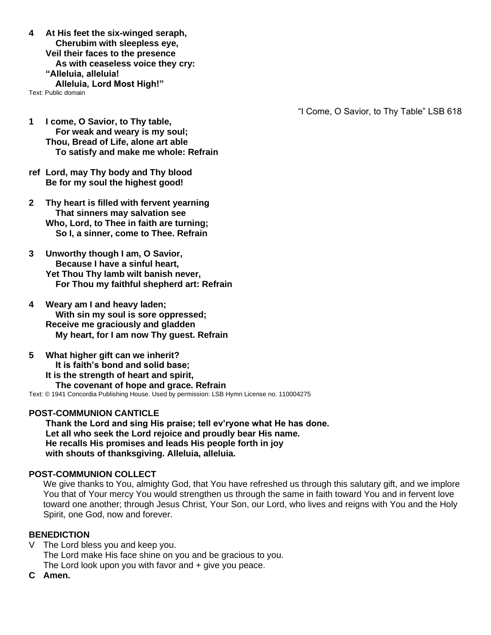**4 At His feet the six-winged seraph, Cherubim with sleepless eye, Veil their faces to the presence As with ceaseless voice they cry: "Alleluia, alleluia! Alleluia, Lord Most High!"**

Text: Public domain

"I Come, O Savior, to Thy Table" LSB 618

- **1 I come, O Savior, to Thy table, For weak and weary is my soul; Thou, Bread of Life, alone art able To satisfy and make me whole: Refrain**
- **ref Lord, may Thy body and Thy blood Be for my soul the highest good!**
- **2 Thy heart is filled with fervent yearning That sinners may salvation see Who, Lord, to Thee in faith are turning; So I, a sinner, come to Thee. Refrain**
- **3 Unworthy though I am, O Savior, Because I have a sinful heart, Yet Thou Thy lamb wilt banish never, For Thou my faithful shepherd art: Refrain**
- **4 Weary am I and heavy laden; With sin my soul is sore oppressed; Receive me graciously and gladden My heart, for I am now Thy guest. Refrain**
- **5 What higher gift can we inherit? It is faith's bond and solid base; It is the strength of heart and spirit, The covenant of hope and grace. Refrain** Text: © 1941 Concordia Publishing House. Used by permission: LSB Hymn License no. 110004275

#### **POST-COMMUNION CANTICLE**

**Thank the Lord and sing His praise; tell ev'ryone what He has done. Let all who seek the Lord rejoice and proudly bear His name. He recalls His promises and leads His people forth in joy with shouts of thanksgiving. Alleluia, alleluia.**

#### **POST-COMMUNION COLLECT**

We give thanks to You, almighty God, that You have refreshed us through this salutary gift, and we implore You that of Your mercy You would strengthen us through the same in faith toward You and in fervent love toward one another; through Jesus Christ, Your Son, our Lord, who lives and reigns with You and the Holy Spirit, one God, now and forever.

#### **BENEDICTION**

- V The Lord bless you and keep you. The Lord make His face shine on you and be gracious to you. The Lord look upon you with favor and + give you peace.
- **C Amen.**